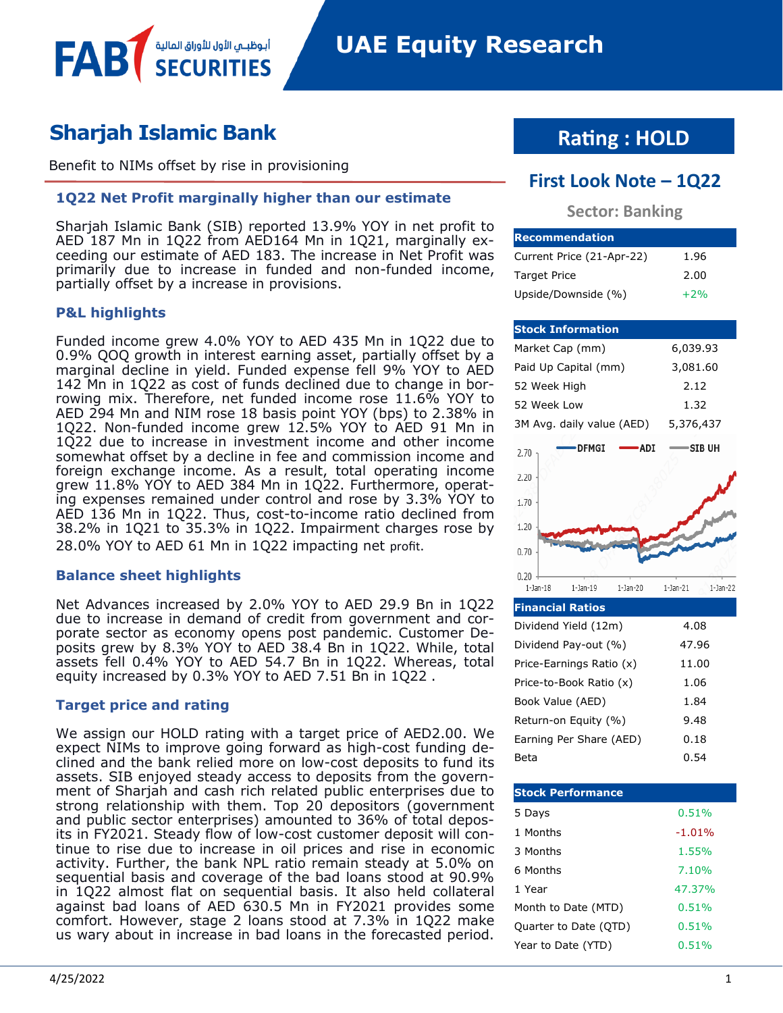# **Sharjah Islamic Bank**

Benefit to NIMs offset by rise in provisioning

أبوظبـي الأول للأوراق المالية

#### **1Q22 Net Profit marginally higher than our estimate**

Sharjah Islamic Bank (SIB) reported 13.9% YOY in net profit to AED 187 Mn in 1Q22 from AED164 Mn in 1Q21, marginally exceeding our estimate of AED 183. The increase in Net Profit was primarily due to increase in funded and non-funded income, partially offset by a increase in provisions.

#### **P&L highlights**

FAB

Funded income grew 4.0% YOY to AED 435 Mn in 1Q22 due to 0.9% QOQ growth in interest earning asset, partially offset by a marginal decline in yield. Funded expense fell 9% YOY to AED 142 Mn in 1Q22 as cost of funds declined due to change in borrowing mix. Therefore, net funded income rose 11.6% YOY to AED 294 Mn and NIM rose 18 basis point YOY (bps) to 2.38% in 1Q22. Non-funded income grew 12.5% YOY to AED 91 Mn in 1Q22 due to increase in investment income and other income somewhat offset by a decline in fee and commission income and foreign exchange income. As a result, total operating income grew 11.8% YOY to AED 384 Mn in 1Q22. Furthermore, operating expenses remained under control and rose by 3.3% YOY to AED 136 Mn in 1Q22. Thus, cost-to-income ratio declined from 38.2% in 1Q21 to 35.3% in 1Q22. Impairment charges rose by 28.0% YOY to AED 61 Mn in 1Q22 impacting net profit.

#### **Balance sheet highlights**

Net Advances increased by 2.0% YOY to AED 29.9 Bn in 1Q22 due to increase in demand of credit from government and corporate sector as economy opens post pandemic. Customer Deposits grew by 8.3% YOY to AED 38.4 Bn in 1Q22. While, total assets fell 0.4% YOY to AED 54.7 Bn in 1Q22. Whereas, total equity increased by 0.3% YOY to AED 7.51 Bn in 1Q22 .

#### **Target price and rating**

We assign our HOLD rating with a target price of AED2.00. We expect NIMs to improve going forward as high-cost funding declined and the bank relied more on low-cost deposits to fund its assets. SIB enjoyed steady access to deposits from the government of Sharjah and cash rich related public enterprises due to strong relationship with them. Top 20 depositors (government and public sector enterprises) amounted to 36% of total deposits in FY2021. Steady flow of low-cost customer deposit will continue to rise due to increase in oil prices and rise in economic activity. Further, the bank NPL ratio remain steady at 5.0% on sequential basis and coverage of the bad loans stood at 90.9% in 1Q22 almost flat on sequential basis. It also held collateral against bad loans of AED 630.5 Mn in FY2021 provides some comfort. However, stage 2 loans stood at 7.3% in 1Q22 make us wary about in increase in bad loans in the forecasted period.

# **Rating : HOLD**

## **First Look Note – 1Q22**

#### **Sector: Banking**

| <b>IRecommendation</b>    |       |
|---------------------------|-------|
| Current Price (21-Apr-22) | 1.96  |
| <b>Target Price</b>       | 2.00  |
| Upside/Downside (%)       | $+2%$ |

| <b>Stock Information</b>                                   |                               |
|------------------------------------------------------------|-------------------------------|
| Market Cap (mm)                                            | 6,039.93                      |
| Paid Up Capital (mm)                                       | 3,081.60                      |
| 52 Week High                                               | 2.12                          |
| 52 Week Low                                                | 1.32                          |
| 3M Avg. daily value (AED)                                  | 5,376,437                     |
| <b>DFMGI</b><br><b>ADI</b><br>2.70                         | ∙SIB UH                       |
| 2.20                                                       |                               |
| 1.70                                                       |                               |
| 1.20                                                       |                               |
| 0.70                                                       |                               |
| 0.20<br>$1$ -Jan- $18$<br>$1$ -Jan- $19$<br>$1$ -Jan- $20$ | $1$ -Jan- $21$<br>$1$ -Jan-22 |

| <b>Financial Ratios</b>  |       |
|--------------------------|-------|
| Dividend Yield (12m)     | 4.08  |
| Dividend Pay-out (%)     | 47.96 |
| Price-Earnings Ratio (x) | 11.00 |
| Price-to-Book Ratio (x)  | 1.06  |
| Book Value (AED)         | 1.84  |
| Return-on Equity (%)     | 9.48  |
| Earning Per Share (AED)  | 0.18  |
| Beta                     | 0.54  |

| <b>Stock Performance</b> |          |
|--------------------------|----------|
| 5 Days                   | 0.51%    |
| 1 Months                 | $-1.01%$ |
| 3 Months                 | 1.55%    |
| 6 Months                 | 7.10%    |
| 1 Year                   | 47.37%   |
| Month to Date (MTD)      | 0.51%    |
| Quarter to Date (QTD)    | 0.51%    |
| Year to Date (YTD)       | 0.51%    |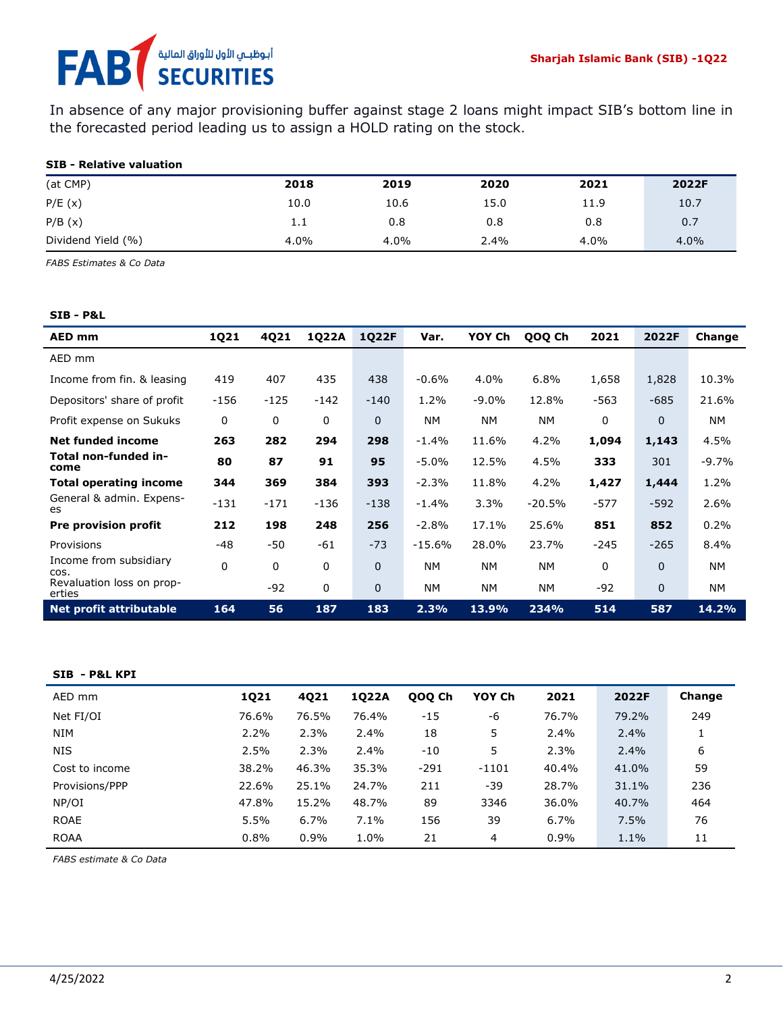# أبوظبـي الأول للأوراق المالية<br>SECURITIES **FAB**

In absence of any major provisioning buffer against stage 2 loans might impact SIB's bottom line in the forecasted period leading us to assign a HOLD rating on the stock.

#### **SIB - Relative valuation**

| (at CMP)           | 2018 | 2019 | 2020 | 2021 | 2022F |
|--------------------|------|------|------|------|-------|
| P/E(x)             | 10.0 | 10.6 | 15.0 | 11.9 | 10.7  |
| P/B(x)             | 1.1  | 0.8  | 0.8  | 0.8  | 0.7   |
| Dividend Yield (%) | 4.0% | 4.0% | 2.4% | 4.0% | 4.0%  |

*FABS Estimates & Co Data*

#### **SIB - P&L**

| AED mm                              | 1Q21   | 4Q21   | 1Q22A  | 1Q22F       | Var.      | YOY Ch    | QOQ Ch    | 2021   | 2022F        | Change    |
|-------------------------------------|--------|--------|--------|-------------|-----------|-----------|-----------|--------|--------------|-----------|
| AED mm                              |        |        |        |             |           |           |           |        |              |           |
| Income from fin. & leasing          | 419    | 407    | 435    | 438         | $-0.6%$   | 4.0%      | 6.8%      | 1,658  | 1,828        | 10.3%     |
| Depositors' share of profit         | $-156$ | $-125$ | $-142$ | $-140$      | 1.2%      | $-9.0\%$  | 12.8%     | $-563$ | $-685$       | 21.6%     |
| Profit expense on Sukuks            | 0      | 0      | 0      | $\Omega$    | <b>NM</b> | <b>NM</b> | <b>NM</b> | 0      | $\mathbf{0}$ | <b>NM</b> |
| <b>Net funded income</b>            | 263    | 282    | 294    | 298         | $-1.4%$   | 11.6%     | 4.2%      | 1,094  | 1,143        | 4.5%      |
| Total non-funded in-<br>come        | 80     | 87     | 91     | 95          | $-5.0%$   | 12.5%     | 4.5%      | 333    | 301          | $-9.7%$   |
| <b>Total operating income</b>       | 344    | 369    | 384    | 393         | $-2.3%$   | 11.8%     | 4.2%      | 1,427  | 1,444        | 1.2%      |
| General & admin. Expens-<br>es      | $-131$ | $-171$ | $-136$ | $-138$      | $-1.4%$   | 3.3%      | $-20.5%$  | $-577$ | $-592$       | 2.6%      |
| <b>Pre provision profit</b>         | 212    | 198    | 248    | 256         | $-2.8%$   | 17.1%     | 25.6%     | 851    | 852          | 0.2%      |
| Provisions                          | $-48$  | -50    | $-61$  | $-73$       | $-15.6%$  | 28.0%     | 23.7%     | $-245$ | $-265$       | 8.4%      |
| Income from subsidiary<br>COS.      | 0      | 0      | 0      | $\mathbf 0$ | <b>NM</b> | <b>NM</b> | <b>NM</b> | 0      | $\mathbf{0}$ | <b>NM</b> |
| Revaluation loss on prop-<br>erties |        | $-92$  | 0      | $\Omega$    | <b>NM</b> | <b>NM</b> | <b>NM</b> | $-92$  | $\mathbf{0}$ | <b>NM</b> |
| <b>Net profit attributable</b>      | 164    | 56     | 187    | 183         | 2.3%      | 13.9%     | 234%      | 514    | 587          | 14.2%     |

#### **SIB - P&L KPI**

| AED mm         | 1021  | 4021  | 1022A | 000 Ch | YOY Ch | 2021    | 2022F | Change |
|----------------|-------|-------|-------|--------|--------|---------|-------|--------|
| Net FI/OI      | 76.6% | 76.5% | 76.4% | $-15$  | -6     | 76.7%   | 79.2% | 249    |
| <b>NIM</b>     | 2.2%  | 2.3%  | 2.4%  | 18     | 5      | 2.4%    | 2.4%  |        |
| <b>NIS</b>     | 2.5%  | 2.3%  | 2.4%  | $-10$  | 5      | 2.3%    | 2.4%  | 6      |
| Cost to income | 38.2% | 46.3% | 35.3% | $-291$ | -1101  | 40.4%   | 41.0% | 59     |
| Provisions/PPP | 22.6% | 25.1% | 24.7% | 211    | -39    | 28.7%   | 31.1% | 236    |
| NP/OI          | 47.8% | 15.2% | 48.7% | 89     | 3346   | 36.0%   | 40.7% | 464    |
| <b>ROAE</b>    | 5.5%  | 6.7%  | 7.1%  | 156    | 39     | 6.7%    | 7.5%  | 76     |
| <b>ROAA</b>    | 0.8%  | 0.9%  | 1.0%  | 21     | 4      | $0.9\%$ | 1.1%  | 11     |

*FABS estimate & Co Data*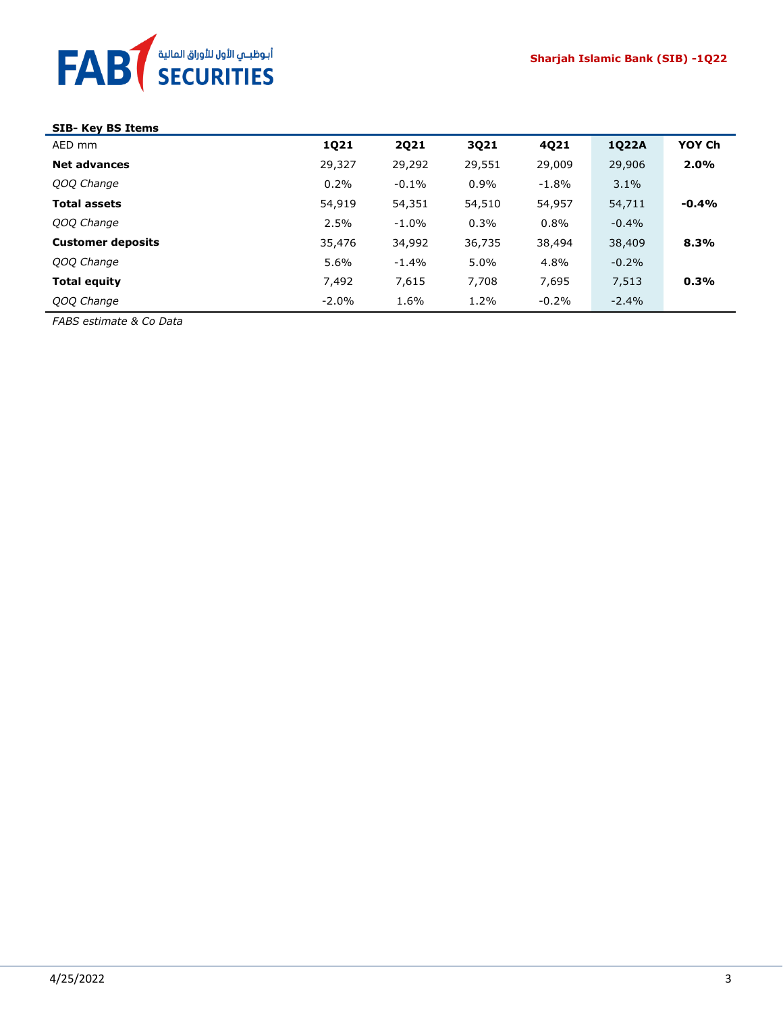

## **SIB- Key BS Items**

| AED mm                   | 1Q21    | <b>2Q21</b> | 3Q21    | 4Q21     | 1Q22A   | YOY Ch  |
|--------------------------|---------|-------------|---------|----------|---------|---------|
| <b>Net advances</b>      | 29,327  | 29,292      | 29,551  | 29,009   | 29,906  | 2.0%    |
| QOQ Change               | 0.2%    | $-0.1\%$    | $0.9\%$ | $-1.8\%$ | 3.1%    |         |
| <b>Total assets</b>      | 54,919  | 54,351      | 54,510  | 54,957   | 54,711  | $-0.4%$ |
| QOQ Change               | 2.5%    | $-1.0%$     | 0.3%    | 0.8%     | $-0.4%$ |         |
| <b>Customer deposits</b> | 35,476  | 34,992      | 36,735  | 38,494   | 38,409  | 8.3%    |
| QOQ Change               | 5.6%    | $-1.4%$     | 5.0%    | 4.8%     | $-0.2%$ |         |
| Total equity             | 7,492   | 7,615       | 7,708   | 7,695    | 7,513   | 0.3%    |
| QOQ Change               | $-2.0%$ | 1.6%        | 1.2%    | $-0.2%$  | $-2.4%$ |         |

*FABS estimate & Co Data*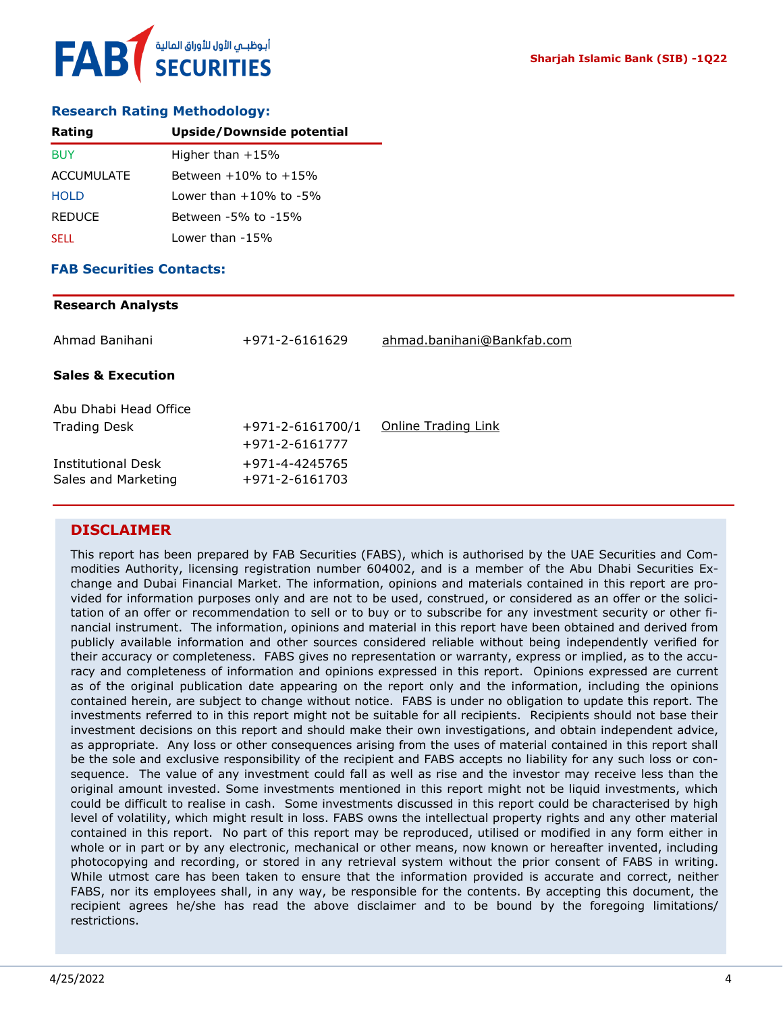#### **Research Rating Methodology:**

| Rating            | Upside/Downside potential    |
|-------------------|------------------------------|
| <b>BUY</b>        | Higher than $+15%$           |
| <b>ACCUMULATE</b> | Between $+10\%$ to $+15\%$   |
| <b>HOLD</b>       | Lower than $+10\%$ to $-5\%$ |
| <b>REDUCE</b>     | Between -5% to -15%          |
| <b>SELL</b>       | Lower than $-15%$            |

#### **FAB Securities Contacts:**

#### **Research Analysts**

| Ahmad Banihani                               | +971-2-6161629                           | ahmad.banihani@Bankfab.com |
|----------------------------------------------|------------------------------------------|----------------------------|
| <b>Sales &amp; Execution</b>                 |                                          |                            |
| Abu Dhabi Head Office<br><b>Trading Desk</b> | $+971 - 2 - 6161700/1$<br>+971-2-6161777 | Online Trading Link        |
| Institutional Desk<br>Sales and Marketing    | +971-4-4245765<br>+971-2-6161703         |                            |

#### **DISCLAIMER**

This report has been prepared by FAB Securities (FABS), which is authorised by the UAE Securities and Commodities Authority, licensing registration number 604002, and is a member of the Abu Dhabi Securities Exchange and Dubai Financial Market. The information, opinions and materials contained in this report are provided for information purposes only and are not to be used, construed, or considered as an offer or the solicitation of an offer or recommendation to sell or to buy or to subscribe for any investment security or other financial instrument. The information, opinions and material in this report have been obtained and derived from publicly available information and other sources considered reliable without being independently verified for their accuracy or completeness. FABS gives no representation or warranty, express or implied, as to the accuracy and completeness of information and opinions expressed in this report. Opinions expressed are current as of the original publication date appearing on the report only and the information, including the opinions contained herein, are subject to change without notice. FABS is under no obligation to update this report. The investments referred to in this report might not be suitable for all recipients. Recipients should not base their investment decisions on this report and should make their own investigations, and obtain independent advice, as appropriate. Any loss or other consequences arising from the uses of material contained in this report shall be the sole and exclusive responsibility of the recipient and FABS accepts no liability for any such loss or consequence. The value of any investment could fall as well as rise and the investor may receive less than the original amount invested. Some investments mentioned in this report might not be liquid investments, which could be difficult to realise in cash. Some investments discussed in this report could be characterised by high level of volatility, which might result in loss. FABS owns the intellectual property rights and any other material contained in this report. No part of this report may be reproduced, utilised or modified in any form either in whole or in part or by any electronic, mechanical or other means, now known or hereafter invented, including photocopying and recording, or stored in any retrieval system without the prior consent of FABS in writing. While utmost care has been taken to ensure that the information provided is accurate and correct, neither FABS, nor its employees shall, in any way, be responsible for the contents. By accepting this document, the recipient agrees he/she has read the above disclaimer and to be bound by the foregoing limitations/ restrictions.